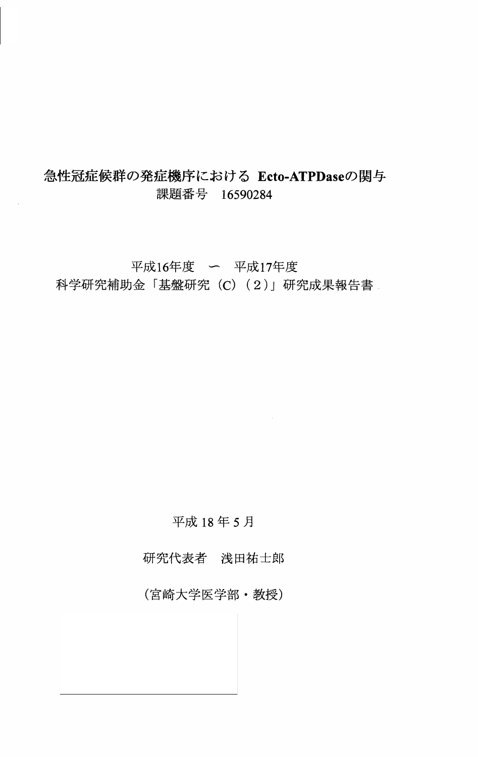# 急性冠症候群の発症機序における Ecto-ATPDaseの関与 課題番号 16590284

平成16年度 ー 平成17年度 科学研究補助金「基盤研究 (C) (2)」研究成果報告書

## 平成18年5月

研究代表者 浅田祐士郎

(宮崎大学医学部·教授)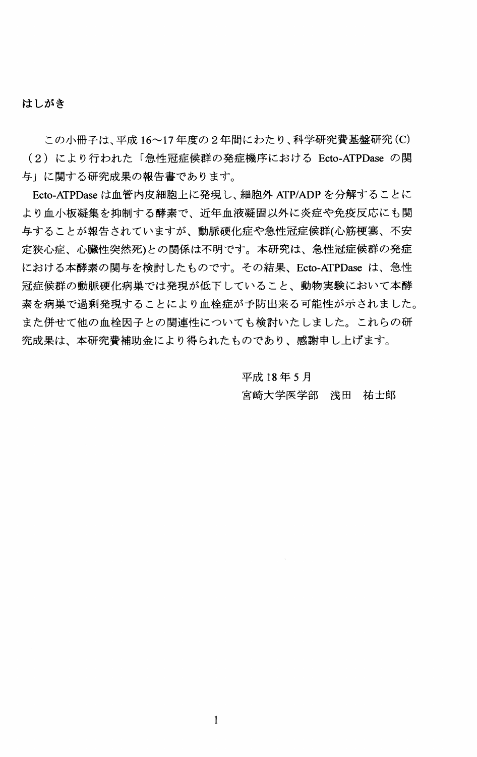#### はしがき

この小冊子は、平成 16~17年度の2年間にわたり、科学研究費基盤研究(C) (2) により行われた「急性冠症候群の発症機序における Ecto-ATPDase の関 与」に関する研究成果の報告書であります。

Ecto-ATPDase は血管内皮細胞上に発現し、細胞外 ATP/ADP を分解することに より血小板凝集を抑制する酵素で、近年血液凝固以外に炎症や免疫反応にも関 与することが報告されていますが、動脈硬化症や急性冠症候群(心筋梗塞、不安 定狭心症、心臟性突然死)との関係は不明です。本研究は、急性冠症候群の発症 における本酵素の関与を検討したものです。その結果、Ecto-ATPDase は、急性 冠症候群の動脈硬化病巣では発現が低下していること、動物実験において本酵 素を病巣で過剰発現することにより血栓症が予防出来る可能性が示されました。 また併せて他の血栓因子との関連性についても検討いたしました。これらの研 究成果は、本研究費補助金により得られたものであり、感謝申し上げます。

> 平成18年5月 宮崎大学医学部 浅田 祐士郎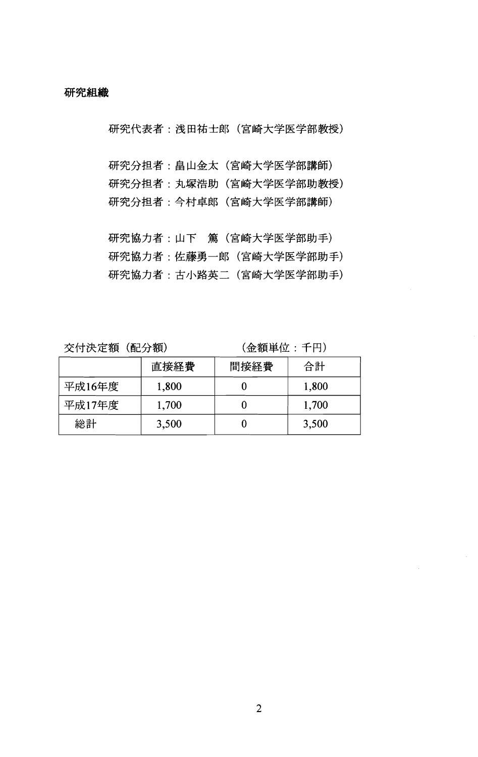研究代表者: 浅田祐士郎 (宮崎大学医学部教授)

研究分担者: 畠山金太 (宮崎大学医学部講師) 研究分担者: 丸塚浩助 (宮崎大学医学部助教授) 研究分担者:今村卓郎(宮崎大学医学部講師)

研究協力者:山下 篤(宮崎大学医学部助手) 研究協力者:佐藤勇一郎 (宮崎大学医学部助手) 研究協力者:古小路英二 (宮崎大学医学部助手)

交付決定額 (配分額)

(金額単位:千円)

|        | 直接経費  | 間接経費 | 合計    |
|--------|-------|------|-------|
| 平成16年度 | 1,800 |      | 1,800 |
| 平成17年度 | 1,700 |      | 1,700 |
| 総計     | 3,500 |      | 3,500 |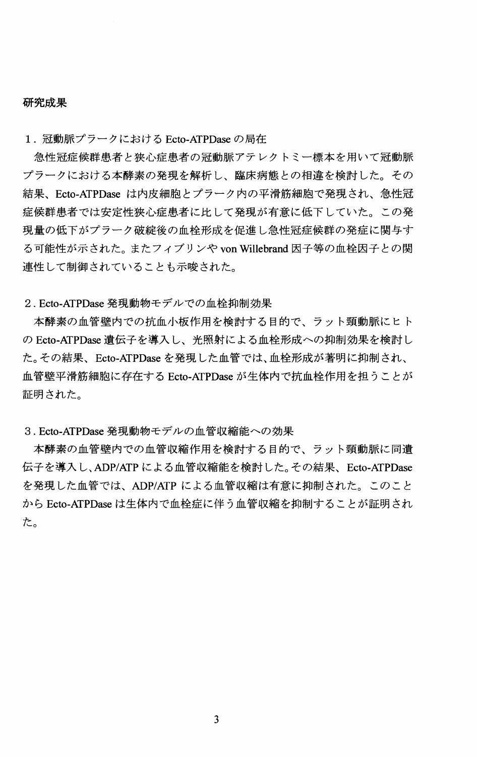#### 研究成果

1. 冠動脈プラークにおける Ecto-ATPDase の局在

急性冠症候群患者と狭心症患者の冠動脈アテレクトミー標本を用いて冠動脈 プラークにおける本酵素の発現を解析し、臨床病態との相違を検討した。その 結果、Ecto-ATPDase は内皮細胞とプラーク内の平滑筋細胞で発現され、急性冠 症候群患者では安定性狭心症患者に比して発現が有意に低下していた。この発 現量の低下がプラーク破綻後の血栓形成を促進し急性冠症候群の発症に関与す る可能性が示された。またフィブリンや von Willebrand 因子等の血栓因子との関 連性して制御されていることも示唆された。

2. Ecto-ATPDase 発現動物モデルでの血栓抑制効果

本酵素の血管壁内での抗血小板作用を検討する目的で、ラット頸動脈にヒト の Ecto-ATPDase 遺伝子を導入し、光照射による血栓形成への抑制効果を検討し た。その結果、Ecto-ATPDase を発現した血管では、血栓形成が著明に抑制され、 血管壁平滑筋細胞に存在する Ecto-ATPDase が生体内で抗血栓作用を担うことが 証明された。

3. Ecto-ATPDase 発現動物モデルの血管収縮能への効果

本酵素の血管壁内での血管収縮作用を検討する目的で、ラット頸動脈に同遺 伝子を導入し、ADP/ATP による血管収縮能を検討した。その結果、Ecto-ATPDase を発現した血管では、ADP/ATP による血管収縮は有意に抑制された。このこと から Ecto-ATPDase は生体内で血栓症に伴う血管収縮を抑制することが証明され た。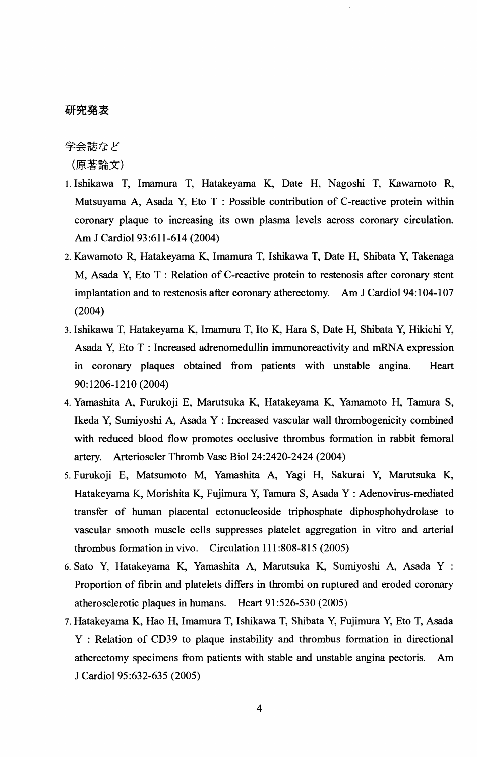### 研究発表

学会誌など

(原著論文)

- 1. Ishikawa T, Imamura T, Hatakeyama K, Date H, Nagoshi T, Kawamoto R, Matsuyama A, Asada Y, Eto  $T$  : Possible contribution of C-reactive protein within coronary plaque to increasing its own plasma levels across coronary circulation. Am J Cardiol 93:611-614 (2004)
- 2. Kawamoto R, Hatakeyama K, Imamura T, Ishikawa T, Date H, Shibata Y, Takenaga M, Asada Y, Eto T : Relation of C-reactive protein to restenosis after coronary stent implantation and to restenosis after coronary atherectomy. Am J Cardiol 94:104-107 (2004)
- 3. Ishikawa T, Hatakeyama K, Imamura T, Ito K, Hara S, Date H, Shibata Y, Hikichi Y, Asada Y, Eto T : Increased adrenomedullin immunoreactivity and mRNA expression in coronary plaques obtained from patients with unstable angina. Heart 90:1206-1210 (2004)
- 4. Yamashita A, Furukoji E, Marutsuka K, Hatakeyama K, Yamamoto H, Tamura S, Ikeda Y, Sumiyoshi A, Asada Y : Increased vascular wall thrombogenicity combined with reduced blood flow promotes occlusive thrombus formation in rabbit femoral artery. Arterioscler Thromb Vasc Bioi 24:2420-2424 (2004)
- 5. Furukoji E, Matsumoto M, Yamashita A, Vagi H, Sakurai Y, Marutsuka K, Hatakeyama K, Morishita K, Fujimura Y, Tamura S, Asada Y : Adenovirus-mediated transfer of human placental ectonucleoside triphosphate diphosphohydrolase to vascular smooth muscle cells suppresses platelet aggregation in vitro and arterial thrombus formation in vivo. Circulation 111 :808-815 (2005)
- 6. Sato Y, Hatakeyama K, Yamashita A, Marutsuka K, Sumiyoshi A, Asada Y : Proportion of fibrin and platelets differs in thrombi on ruptured and eroded coronary atherosclerotic plaques in humans. Heart 91 :526-530 (2005)
- 7. Hatakeyama K, Hao H, Imamura T, Ishikawa T, Shibata Y, Fujimura Y, Eto T, Asada Y : Relation of CD39 to plaque instability and thrombus formation in directional atherectomy specimens from patients with stable and unstable angina pectoris. Am J Cardiol 95:632-635 (2005)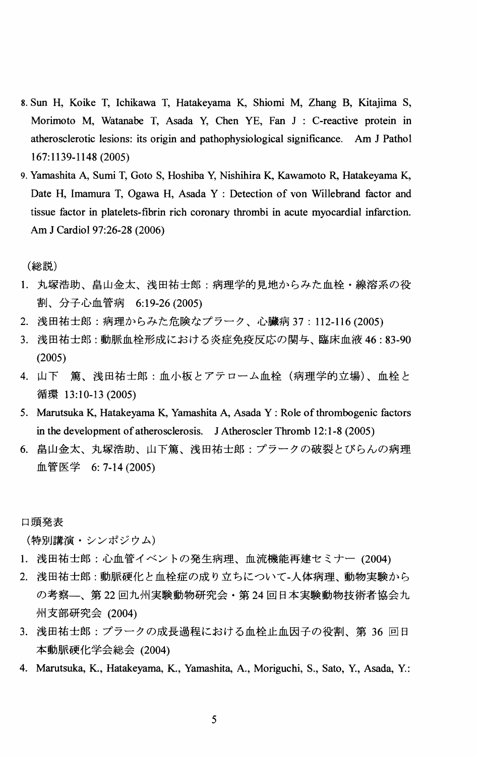- 8. Sun H, Koike T, Ichikawa T, Hatakeyama K, Shiomi M, Zhang B, Kitajima S, Morimoto M, Watanabe T, Asada Y, Chen YE, Fan J : C-reactive protein in atherosclerotic lesions: its origin and pathophysiological significance. Am J Pathol 167:1139-1148 (2005)
- 9. Yamashita A, Sumi T, Goto S, Hoshiba Y, Nishihira K, Kawamoto R, Hatakeyama K, Date H, Imamura T, Ogawa H, Asada Y : Detection of von WilIebrand factor and tissue factor in platelets-fibrin rich coronary thrombi in acute myocardial infarction. Am J Cardiol 97:26-28 (2006)

(総説)

- 1. 丸塚浩助、畠山金太、浅田祐士郎:病理学的見地からみた血栓·線溶系の役 割、分子心血管病 6:19-26 (2005)
- 2. 浅田祐士郎:病理からみた危険なプラーク、心臓病 37:112-116 (2005)
- 3. 浅田祐士郎:動脈血栓形成における炎症免疫反応の関与、臨床血液 46:83-90 (2005)
- 4. 山下 篤、浅田祐士郎:血小板とアテローム血栓(病理学的立場)、血栓と 循環 13:10-13 (2005)
- 5. Marutsuka K, Hatakeyama K, Yamashita A, Asada Y: Role of thrombogenic factors in the development of atherosclerosis. J Atheroscler Thromb 12:1-8 (2005)
- 6. 畠山金太、丸塚浩助、山下篤、浅田祐士郎:プラークの破裂とびらんの病理 血管医学 6: 7-14 (2005)

口頭発表

(特別講演・シンポジウム)

- 1. 浅田祐士郎: 心血管イベントの発生病理、血流機能再建セミナー (2004)
- 2. 浅田祐士郎:動脈硬化と血栓症の成り立ちについて-人体病理、動物実験から の考察—、第22 回九州実験動物研究会・第24 回日本実験動物技術者協会九 州支部研究会 (2004)
- 3. 浅田祐士郎: プラークの成長過程における血栓止血因子の役割、第36回日 本動脈硬化学会総会 (2004)
- 4. Marutsuka, K., Hatakeyama, K., Yamashita, A., Moriguchi, S., Sato, Y., Asada, Y.: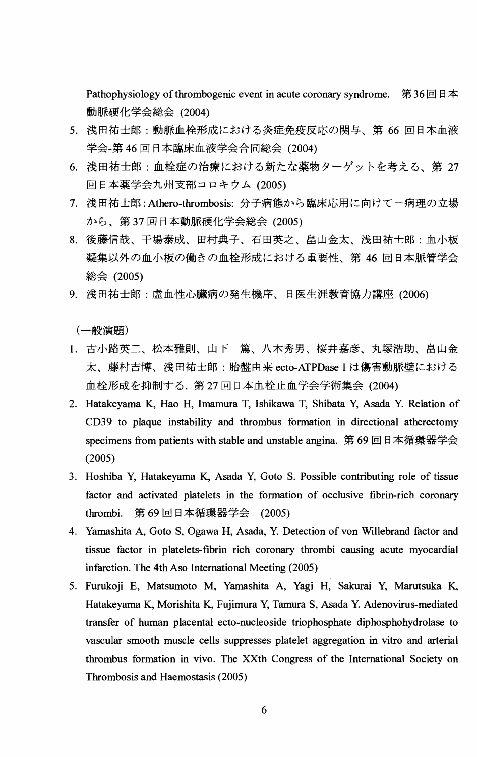Pathophysiology of thrombogenic event in acute coronary syndrome. 第36回日本 動脈硬化学会総会 (2004)

- 5. 浅田祐士郎:動脈血栓形成における炎症免疫反応の関与、第66回日本血液 学会-第46回日本臨床血液学会合同総会 (2004)
- 6. 浅田祐士郎:血栓症の治療における新たな薬物ターゲットを考える、第27 回日本薬学会九州支部コロキウム (2005)
- 7. 浅田祐士郎: Athero-thrombosis: 分子病態から臨床応用に向けて一病理の立場 から、第37回日本動脈硬化学会総会 (2005)
- 8. 後藤信哉、干場泰成、田村典子、石田英之、畠山金太、浅田祐士郎:血小板 凝集以外の血小板の働きの血栓形成における重要性、第46回日本脈管学会 総会 (2005)
- 9. 浅田祐士郎:虚血性心臓病の発生機序、日医生涯教育協力講座 (2006)

(一般演題)

- 1. 古小路英二、松本雅則、山下 篤、八木秀男、桜井嘉彦、丸塚浩助、畠山金<br>- 大、藤村吉博、浅田祐士郎:胎盤由来 ecto-ATPDase I は傷害動脈壁における 血栓形成を抑制する. 第27 回日本血栓止血学会学術集会 (2004)
- 2. Hatakeyama K, Hao H, Imamura T, Ishikawa T, Shibata Y, Asada Y. Relation of CD39 to plaque instability and thrombus formation in directional atherectomy specimens from patients with stable and unstable angina. 第69 回日本循環器学会 (2005)
- 3. Hoshiba Y, Hatakeyama K, Asada Y, Goto S. Possible contributing role of tissue factor and activated platelets in the formation of occlusive fibrin-rich coronary thrombi. 第 69 回日本循環器学会 (2005)
- 4. Yamashita A, Goto S, Ogawa H, Asada, Y. Detection of von Willebrand factor and tissue factor in platelets-fibrin rich coronary thrombi causing acute myocardial infarction. The 4th Aso International Meeting (2005)
- 5. Furukoji E, Matsumoto M, Yamashita A, Vagi H, Sakurai Y, Marutsuka K, Hatakeyama K, Morishita K, Fujimura Y, Tamura S, Asada Y. Adenovirus-mediated transfer of human placental ecto-nucleoside triophosphate diphosphohydrolase to vascular smooth muscle cells suppresses platelet aggregation in vitro and arterial thrombus formation in vivo. The XXth Congress of the International Society on Thrombosis and Haemostasis (2005)